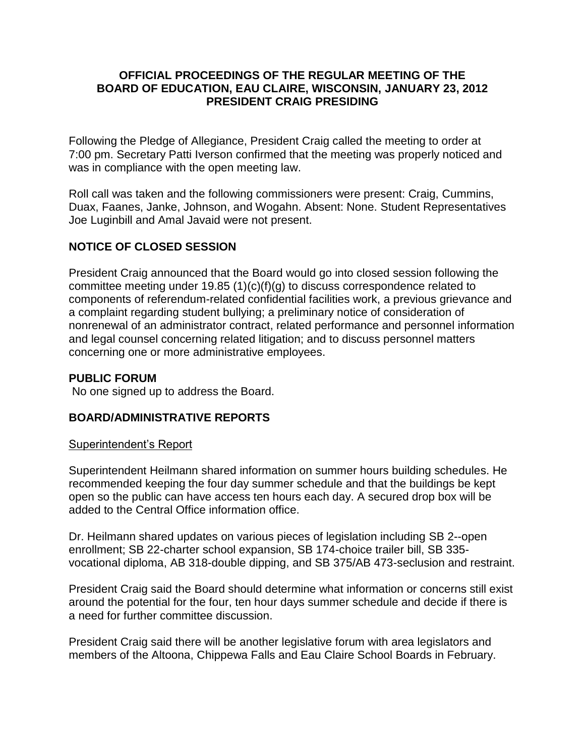### **OFFICIAL PROCEEDINGS OF THE REGULAR MEETING OF THE BOARD OF EDUCATION, EAU CLAIRE, WISCONSIN, JANUARY 23, 2012 PRESIDENT CRAIG PRESIDING**

Following the Pledge of Allegiance, President Craig called the meeting to order at 7:00 pm. Secretary Patti Iverson confirmed that the meeting was properly noticed and was in compliance with the open meeting law.

Roll call was taken and the following commissioners were present: Craig, Cummins, Duax, Faanes, Janke, Johnson, and Wogahn. Absent: None. Student Representatives Joe Luginbill and Amal Javaid were not present.

## **NOTICE OF CLOSED SESSION**

President Craig announced that the Board would go into closed session following the committee meeting under 19.85 (1)(c)(f)(g) to discuss correspondence related to components of referendum-related confidential facilities work, a previous grievance and a complaint regarding student bullying; a preliminary notice of consideration of nonrenewal of an administrator contract, related performance and personnel information and legal counsel concerning related litigation; and to discuss personnel matters concerning one or more administrative employees.

### **PUBLIC FORUM**

No one signed up to address the Board.

### **BOARD/ADMINISTRATIVE REPORTS**

### Superintendent's Report

Superintendent Heilmann shared information on summer hours building schedules. He recommended keeping the four day summer schedule and that the buildings be kept open so the public can have access ten hours each day. A secured drop box will be added to the Central Office information office.

Dr. Heilmann shared updates on various pieces of legislation including SB 2--open enrollment; SB 22-charter school expansion, SB 174-choice trailer bill, SB 335 vocational diploma, AB 318-double dipping, and SB 375/AB 473-seclusion and restraint.

President Craig said the Board should determine what information or concerns still exist around the potential for the four, ten hour days summer schedule and decide if there is a need for further committee discussion.

President Craig said there will be another legislative forum with area legislators and members of the Altoona, Chippewa Falls and Eau Claire School Boards in February.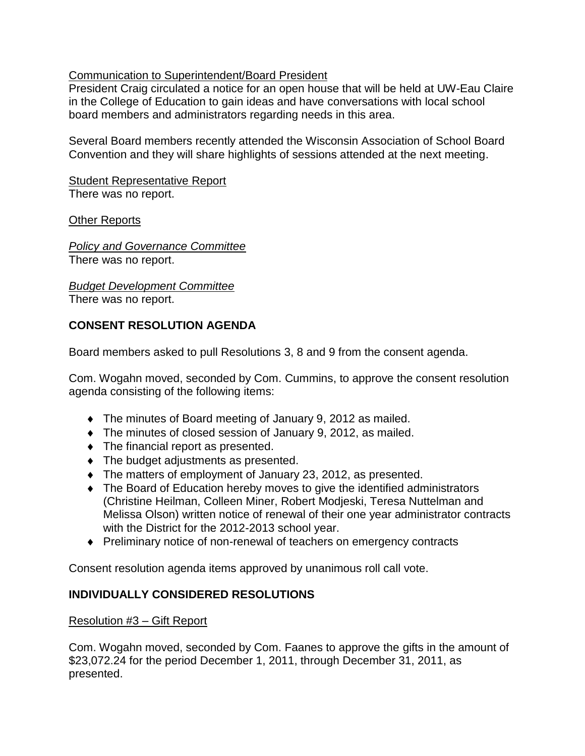## Communication to Superintendent/Board President

President Craig circulated a notice for an open house that will be held at UW-Eau Claire in the College of Education to gain ideas and have conversations with local school board members and administrators regarding needs in this area.

Several Board members recently attended the Wisconsin Association of School Board Convention and they will share highlights of sessions attended at the next meeting.

Student Representative Report There was no report.

Other Reports

*Policy and Governance Committee* There was no report.

*Budget Development Committee*

There was no report.

# **CONSENT RESOLUTION AGENDA**

Board members asked to pull Resolutions 3, 8 and 9 from the consent agenda.

Com. Wogahn moved, seconded by Com. Cummins, to approve the consent resolution agenda consisting of the following items:

- The minutes of Board meeting of January 9, 2012 as mailed.
- The minutes of closed session of January 9, 2012, as mailed.
- $\bullet$  The financial report as presented.
- $\bullet$  The budget adjustments as presented.
- The matters of employment of January 23, 2012, as presented.
- The Board of Education hereby moves to give the identified administrators (Christine Heilman, Colleen Miner, Robert Modjeski, Teresa Nuttelman and Melissa Olson) written notice of renewal of their one year administrator contracts with the District for the 2012-2013 school year.
- ◆ Preliminary notice of non-renewal of teachers on emergency contracts

Consent resolution agenda items approved by unanimous roll call vote.

# **INDIVIDUALLY CONSIDERED RESOLUTIONS**

### Resolution #3 – Gift Report

Com. Wogahn moved, seconded by Com. Faanes to approve the gifts in the amount of \$23,072.24 for the period December 1, 2011, through December 31, 2011, as presented.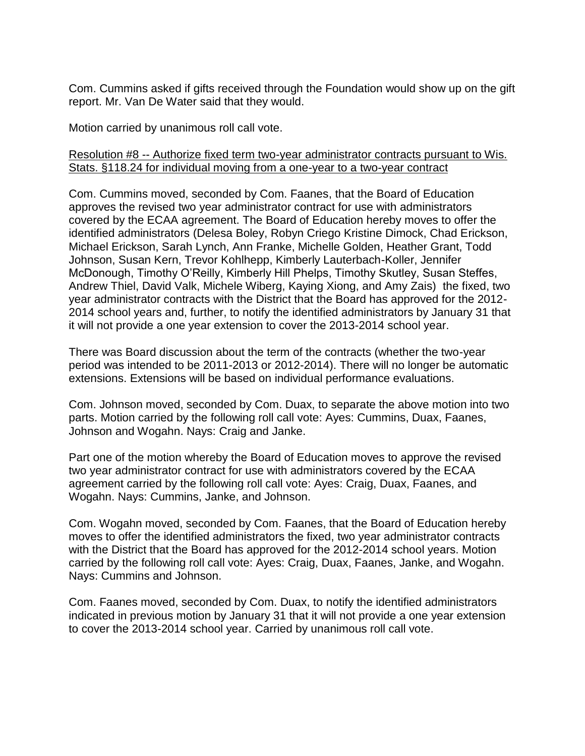Com. Cummins asked if gifts received through the Foundation would show up on the gift report. Mr. Van De Water said that they would.

Motion carried by unanimous roll call vote.

### Resolution #8 -- Authorize fixed term two-year administrator contracts pursuant to Wis. Stats. §118.24 for individual moving from a one-year to a two-year contract

Com. Cummins moved, seconded by Com. Faanes, that the Board of Education approves the revised two year administrator contract for use with administrators covered by the ECAA agreement. The Board of Education hereby moves to offer the identified administrators (Delesa Boley, Robyn Criego Kristine Dimock, Chad Erickson, Michael Erickson, Sarah Lynch, Ann Franke, Michelle Golden, Heather Grant, Todd Johnson, Susan Kern, Trevor Kohlhepp, Kimberly Lauterbach-Koller, Jennifer McDonough, Timothy O'Reilly, Kimberly Hill Phelps, Timothy Skutley, Susan Steffes, Andrew Thiel, David Valk, Michele Wiberg, Kaying Xiong, and Amy Zais) the fixed, two year administrator contracts with the District that the Board has approved for the 2012- 2014 school years and, further, to notify the identified administrators by January 31 that it will not provide a one year extension to cover the 2013-2014 school year.

There was Board discussion about the term of the contracts (whether the two-year period was intended to be 2011-2013 or 2012-2014). There will no longer be automatic extensions. Extensions will be based on individual performance evaluations.

Com. Johnson moved, seconded by Com. Duax, to separate the above motion into two parts. Motion carried by the following roll call vote: Ayes: Cummins, Duax, Faanes, Johnson and Wogahn. Nays: Craig and Janke.

Part one of the motion whereby the Board of Education moves to approve the revised two year administrator contract for use with administrators covered by the ECAA agreement carried by the following roll call vote: Ayes: Craig, Duax, Faanes, and Wogahn. Nays: Cummins, Janke, and Johnson.

Com. Wogahn moved, seconded by Com. Faanes, that the Board of Education hereby moves to offer the identified administrators the fixed, two year administrator contracts with the District that the Board has approved for the 2012-2014 school years. Motion carried by the following roll call vote: Ayes: Craig, Duax, Faanes, Janke, and Wogahn. Nays: Cummins and Johnson.

Com. Faanes moved, seconded by Com. Duax, to notify the identified administrators indicated in previous motion by January 31 that it will not provide a one year extension to cover the 2013-2014 school year. Carried by unanimous roll call vote.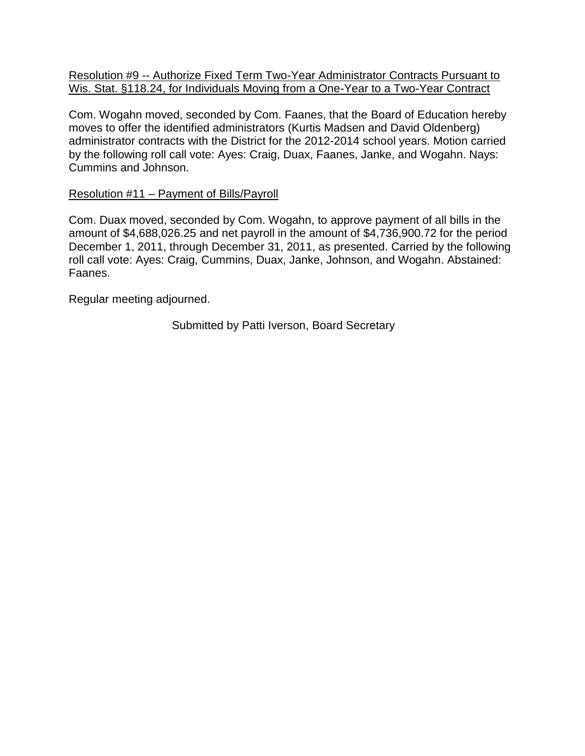Resolution #9 -- Authorize Fixed Term Two-Year Administrator Contracts Pursuant to Wis. Stat. §118.24, for Individuals Moving from a One-Year to a Two-Year Contract

Com. Wogahn moved, seconded by Com. Faanes, that the Board of Education hereby moves to offer the identified administrators (Kurtis Madsen and David Oldenberg) administrator contracts with the District for the 2012-2014 school years. Motion carried by the following roll call vote: Ayes: Craig, Duax, Faanes, Janke, and Wogahn. Nays: Cummins and Johnson.

### Resolution #11 – Payment of Bills/Payroll

Com. Duax moved, seconded by Com. Wogahn, to approve payment of all bills in the amount of \$4,688,026.25 and net payroll in the amount of \$4,736,900.72 for the period December 1, 2011, through December 31, 2011, as presented. Carried by the following roll call vote: Ayes: Craig, Cummins, Duax, Janke, Johnson, and Wogahn. Abstained: Faanes.

Regular meeting adjourned.

Submitted by Patti Iverson, Board Secretary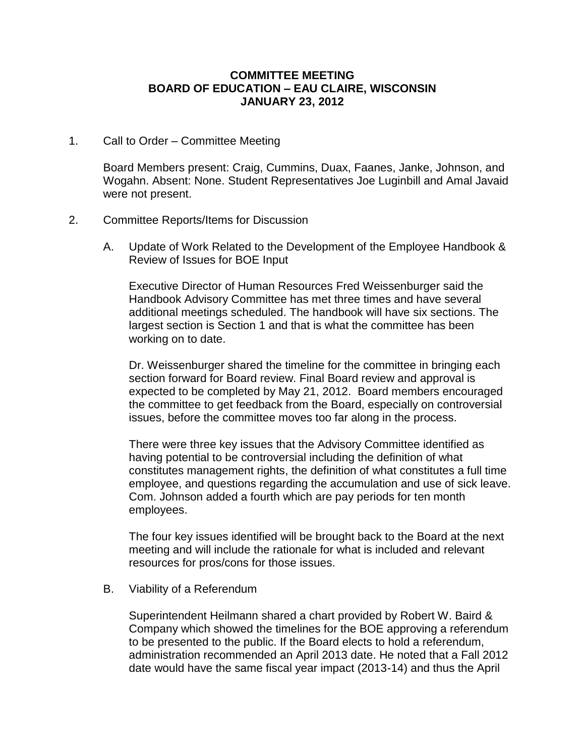#### **COMMITTEE MEETING BOARD OF EDUCATION – EAU CLAIRE, WISCONSIN JANUARY 23, 2012**

1. Call to Order – Committee Meeting

Board Members present: Craig, Cummins, Duax, Faanes, Janke, Johnson, and Wogahn. Absent: None. Student Representatives Joe Luginbill and Amal Javaid were not present.

#### 2. Committee Reports/Items for Discussion

A. Update of Work Related to the Development of the Employee Handbook & Review of Issues for BOE Input

Executive Director of Human Resources Fred Weissenburger said the Handbook Advisory Committee has met three times and have several additional meetings scheduled. The handbook will have six sections. The largest section is Section 1 and that is what the committee has been working on to date.

Dr. Weissenburger shared the timeline for the committee in bringing each section forward for Board review. Final Board review and approval is expected to be completed by May 21, 2012. Board members encouraged the committee to get feedback from the Board, especially on controversial issues, before the committee moves too far along in the process.

There were three key issues that the Advisory Committee identified as having potential to be controversial including the definition of what constitutes management rights, the definition of what constitutes a full time employee, and questions regarding the accumulation and use of sick leave. Com. Johnson added a fourth which are pay periods for ten month employees.

The four key issues identified will be brought back to the Board at the next meeting and will include the rationale for what is included and relevant resources for pros/cons for those issues.

B. Viability of a Referendum

Superintendent Heilmann shared a chart provided by Robert W. Baird & Company which showed the timelines for the BOE approving a referendum to be presented to the public. If the Board elects to hold a referendum, administration recommended an April 2013 date. He noted that a Fall 2012 date would have the same fiscal year impact (2013-14) and thus the April